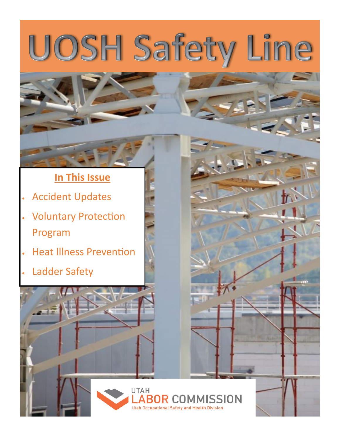# UOSH Safety Line

# **In This Issue**

- Accident Updates
- Voluntary Protection Program
- Heat Illness Prevention
- Ladder Safety

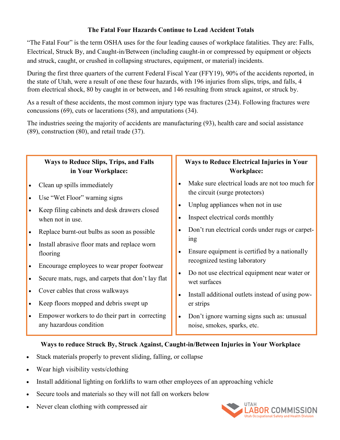### **The Fatal Four Hazards Continue to Lead Accident Totals**

"The Fatal Four" is the term OSHA uses for the four leading causes of workplace fatalities. They are: Falls, Electrical, Struck By, and Caught-in/Between (including caught-in or compressed by equipment or objects and struck, caught, or crushed in collapsing structures, equipment, or material) incidents.

During the first three quarters of the current Federal Fiscal Year (FFY19), 90% of the accidents reported, in the state of Utah, were a result of one these four hazards, with 196 injuries from slips, trips, and falls, 4 from electrical shock, 80 by caught in or between, and 146 resulting from struck against, or struck by.

As a result of these accidents, the most common injury type was fractures (234). Following fractures were concussions (69), cuts or lacerations (58), and amputations (34).

The industries seeing the majority of accidents are manufacturing (93), health care and social assistance (89), construction (80), and retail trade (37).

#### **Ways to Reduce Slips, Trips, and Falls in Your Workplace:** • Clean up spills immediately Use "Wet Floor" warning signs • Keep filing cabinets and desk drawers closed when not in use. • Replace burnt-out bulbs as soon as possible • Install abrasive floor mats and replace worn flooring Encourage employees to wear proper footwear Secure mats, rugs, and carpets that don't lay flat Cover cables that cross walkways • Keep floors mopped and debris swept up Empower workers to do their part in correcting any hazardous condition **Ways to Reduce Electrical Injuries in Your Workplace:** Make sure electrical loads are not too much for the circuit (surge protectors) Unplug appliances when not in use • Inspect electrical cords monthly Don't run electrical cords under rugs or carpeting Ensure equipment is certified by a nationally recognized testing laboratory Do not use electrical equipment near water or wet surfaces • Install additional outlets instead of using power strips • Don't ignore warning signs such as: unusual noise, smokes, sparks, etc.

## **Ways to reduce Struck By, Struck Against, Caught-in/Between Injuries in Your Workplace**

- Stack materials properly to prevent sliding, falling, or collapse
- Wear high visibility vests/clothing
- Install additional lighting on forklifts to warn other employees of an approaching vehicle
- Secure tools and materials so they will not fall on workers below
- Never clean clothing with compressed air

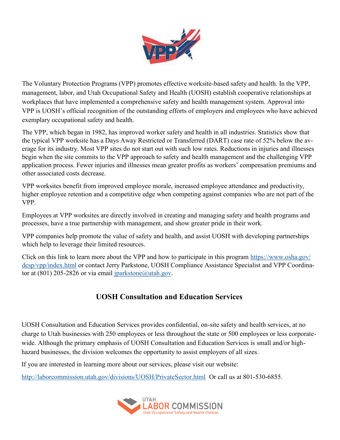

<span id="page-2-0"></span>The Voluntary Protection Programs (VPP) promotes effective worksite-based safety and health. In the VPP, management, labor, and Utah Occupational Safety and Health (UOSH) establish cooperative relationships at workplaces that have implemented a comprehensive safety and health management system. Approval into VPP is UOSH's official recognition of the outstanding efforts of employers and employees who have achieved exemplary occupational safety and health.

The VPP, which began in 1982, has improved worker safety and health in all industries. Statistics show that the typical VPP worksite has a Days Away Restricted or Transferred (DART) case rate of 52% below the average for its industry. Most VPP sites do not start out with such low rates. Reductions in injuries and illnesses begin when the site commits to the VPP approach to safety and health management and the challenging VPP application process. Fewer injuries and illnesses mean greater profits as workers' compensation premiums and other associated costs decrease.

VPP worksites benefit from improved employee morale, increased employee attendance and productivity, higher employee retention and a competitive edge when competing against companies who are not part of the VPP.

Employees at VPP worksites are directly involved in creating and managing safety and health programs and processes, have a true partnership with management, and show greater pride in their work.

VPP companies help promote the value of safety and health, and assist UOSH with developing partnerships which help to leverage their limited resources.

Click on this link to learn more about the VPP and how to participate in this program [https://www.osha.gov/](#page-2-0) [dcsp/vpp/index.html](#page-2-0) or contact Jerry Parkstone, UOSH Compliance Assistance Specialist and VPP Coordinator at (801) 205-2826 or via email  $iparkstone$  (*a*)utah.gov.

# **UOSH Consultation and Education Services**

UOSH Consultation and Education Services provides confidential, on-site safety and health services, at no charge to Utah businesses with 250 employees or less throughout the state or 500 employees or less corporatewide. Although the primary emphasis of UOSH Consultation and Education Services is small and/or highhazard businesses, the division welcomes the opportunity to assist employers of all sizes.

If you are interested in learning more about our services, please visit our website:

<http://laborcommission.utah.gov/divisions/UOSH/PrivateSector.html>Or call us at 801-530-6855.